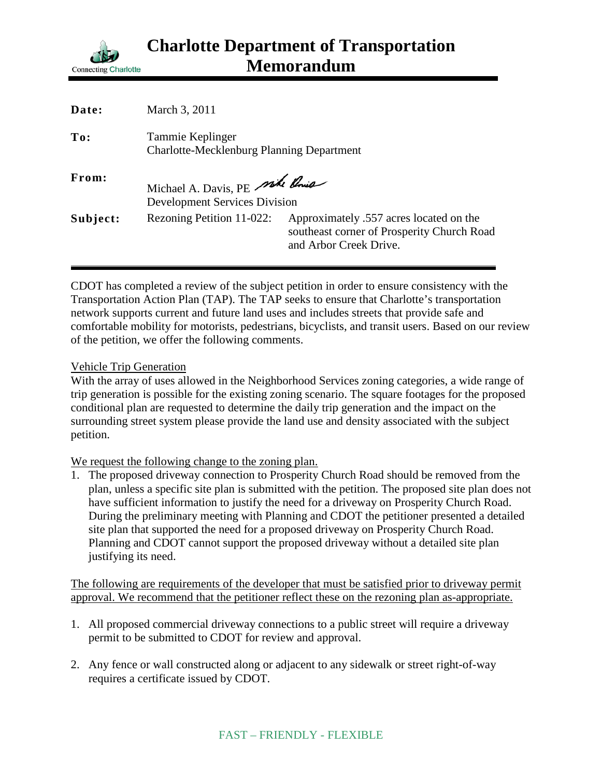

| Date:    | March 3, 2011                                                          |                                                                                                                 |
|----------|------------------------------------------------------------------------|-----------------------------------------------------------------------------------------------------------------|
| To:      | Tammie Keplinger<br><b>Charlotte-Mecklenburg Planning Department</b>   |                                                                                                                 |
| From:    | Michael A. Davis, PE side Pois<br><b>Development Services Division</b> |                                                                                                                 |
| Subject: | Rezoning Petition 11-022:                                              | Approximately .557 acres located on the<br>southeast corner of Prosperity Church Road<br>and Arbor Creek Drive. |

CDOT has completed a review of the subject petition in order to ensure consistency with the Transportation Action Plan (TAP). The TAP seeks to ensure that Charlotte's transportation network supports current and future land uses and includes streets that provide safe and comfortable mobility for motorists, pedestrians, bicyclists, and transit users. Based on our review of the petition, we offer the following comments.

## Vehicle Trip Generation

With the array of uses allowed in the Neighborhood Services zoning categories, a wide range of trip generation is possible for the existing zoning scenario. The square footages for the proposed conditional plan are requested to determine the daily trip generation and the impact on the surrounding street system please provide the land use and density associated with the subject petition.

## We request the following change to the zoning plan.

1. The proposed driveway connection to Prosperity Church Road should be removed from the plan, unless a specific site plan is submitted with the petition. The proposed site plan does not have sufficient information to justify the need for a driveway on Prosperity Church Road. During the preliminary meeting with Planning and CDOT the petitioner presented a detailed site plan that supported the need for a proposed driveway on Prosperity Church Road. Planning and CDOT cannot support the proposed driveway without a detailed site plan justifying its need.

The following are requirements of the developer that must be satisfied prior to driveway permit approval. We recommend that the petitioner reflect these on the rezoning plan as-appropriate.

- 1. All proposed commercial driveway connections to a public street will require a driveway permit to be submitted to CDOT for review and approval.
- 2. Any fence or wall constructed along or adjacent to any sidewalk or street right-of-way requires a certificate issued by CDOT.